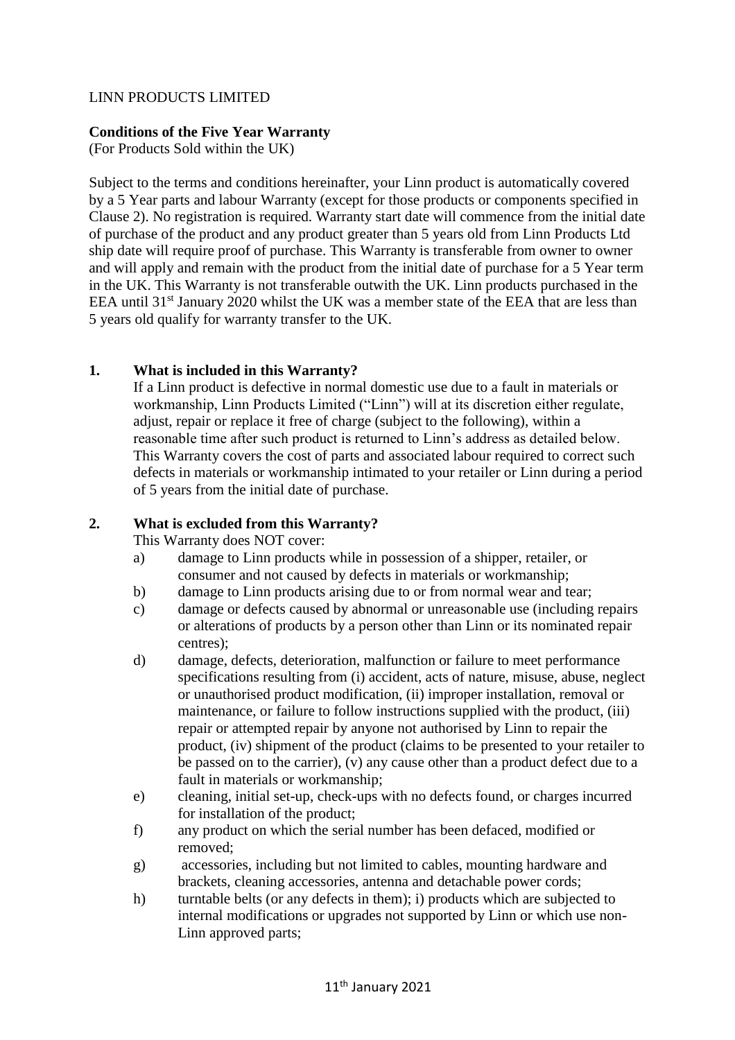# LINN PRODUCTS LIMITED

#### **Conditions of the Five Year Warranty**

(For Products Sold within the UK)

Subject to the terms and conditions hereinafter, your Linn product is automatically covered by a 5 Year parts and labour Warranty (except for those products or components specified in Clause 2). No registration is required. Warranty start date will commence from the initial date of purchase of the product and any product greater than 5 years old from Linn Products Ltd ship date will require proof of purchase. This Warranty is transferable from owner to owner and will apply and remain with the product from the initial date of purchase for a 5 Year term in the UK. This Warranty is not transferable outwith the UK. Linn products purchased in the EEA until 31<sup>st</sup> January 2020 whilst the UK was a member state of the EEA that are less than 5 years old qualify for warranty transfer to the UK.

# **1. What is included in this Warranty?**

If a Linn product is defective in normal domestic use due to a fault in materials or workmanship, Linn Products Limited ("Linn") will at its discretion either regulate, adjust, repair or replace it free of charge (subject to the following), within a reasonable time after such product is returned to Linn's address as detailed below. This Warranty covers the cost of parts and associated labour required to correct such defects in materials or workmanship intimated to your retailer or Linn during a period of 5 years from the initial date of purchase.

# **2. What is excluded from this Warranty?**

This Warranty does NOT cover:

- a) damage to Linn products while in possession of a shipper, retailer, or consumer and not caused by defects in materials or workmanship;
- b) damage to Linn products arising due to or from normal wear and tear;
- c) damage or defects caused by abnormal or unreasonable use (including repairs or alterations of products by a person other than Linn or its nominated repair centres);
- d) damage, defects, deterioration, malfunction or failure to meet performance specifications resulting from (i) accident, acts of nature, misuse, abuse, neglect or unauthorised product modification, (ii) improper installation, removal or maintenance, or failure to follow instructions supplied with the product, (iii) repair or attempted repair by anyone not authorised by Linn to repair the product, (iv) shipment of the product (claims to be presented to your retailer to be passed on to the carrier), (v) any cause other than a product defect due to a fault in materials or workmanship;
- e) cleaning, initial set-up, check-ups with no defects found, or charges incurred for installation of the product;
- f) any product on which the serial number has been defaced, modified or removed;
- g) accessories, including but not limited to cables, mounting hardware and brackets, cleaning accessories, antenna and detachable power cords;
- h) turntable belts (or any defects in them); i) products which are subjected to internal modifications or upgrades not supported by Linn or which use non-Linn approved parts;